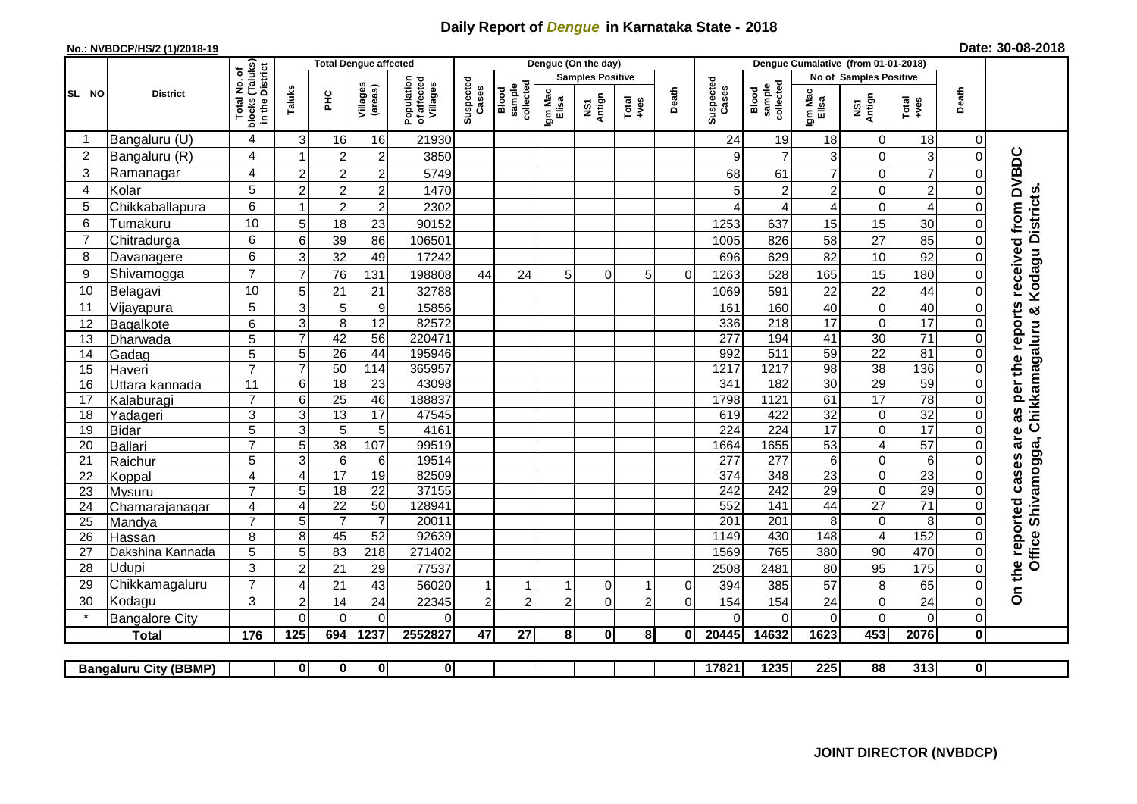## **Daily Report of** *Dengue* **in Karnataka State - 2018**

## **No.: NVBDCP/HS/2 (1)/2018-19 Date: 30-08-2018**

|                |                              |                                                                       | <b>Total Dengue affected</b> |                                    |                                    |                                       |                    |                              |                  | Dengue (On the day)     |                |              |                         |                              |                                    |                            |                 |                |                                        |
|----------------|------------------------------|-----------------------------------------------------------------------|------------------------------|------------------------------------|------------------------------------|---------------------------------------|--------------------|------------------------------|------------------|-------------------------|----------------|--------------|-------------------------|------------------------------|------------------------------------|----------------------------|-----------------|----------------|----------------------------------------|
|                |                              |                                                                       |                              |                                    |                                    |                                       |                    |                              |                  | <b>Samples Positive</b> |                |              |                         |                              | <b>No of Samples Positive</b>      |                            |                 |                |                                        |
| SL NO          | <b>District</b>              | Total No. of<br>Jocks (Taluks)<br>in the District<br>blocks<br>in the | Taluks                       | ΞÉ                                 | Villages<br>(areas)                | Population<br>of affected<br>Villages | Suspected<br>Cases | sample<br>collected<br>Blood | Igm Mac<br>Elisa | Antign<br>Σń            | Total<br>+ves  | Death        | Suspected<br>Cases      | collected<br>sample<br>Blood | Igm Mac<br>Elisa                   | NS1<br>Antign              | Total<br>+ves   | Death          |                                        |
| -1             | Bangaluru (U)                | 4                                                                     | 3                            | 16                                 | 16                                 | 21930                                 |                    |                              |                  |                         |                |              | 24                      | 19                           | 18                                 | 0                          | 18              | 0              |                                        |
| $\overline{2}$ | Bangaluru (R)                | 4                                                                     |                              | $\overline{c}$                     | $\overline{c}$                     | 3850                                  |                    |                              |                  |                         |                |              | 9                       | $\overline{7}$               | 3                                  | $\mathbf 0$                | $\overline{3}$  | $\mathbf 0$    |                                        |
| 3              | Ramanagar                    | 4                                                                     | $\overline{2}$               | $\overline{c}$                     | $\overline{c}$                     | 5749                                  |                    |                              |                  |                         |                |              | 68                      | 61                           | $\overline{7}$                     | $\mathbf 0$                | $\overline{7}$  | $\Omega$       | as per the reports received from DVBDC |
| 4              | Kolar                        | 5                                                                     | $\overline{c}$               | $\overline{c}$                     | $\boldsymbol{2}$                   | 1470                                  |                    |                              |                  |                         |                |              | 5                       | $\overline{c}$               | 2                                  | $\mathbf 0$                | $\overline{c}$  | 0              |                                        |
| 5              | Chikkaballapura              | 6                                                                     | $\overline{1}$               | $\overline{c}$                     | $\overline{c}$                     | 2302                                  |                    |                              |                  |                         |                |              | ⊿                       | 4                            | 4                                  | $\mathbf 0$                | 4               | $\Omega$       |                                        |
| 6              | Tumakuru                     | 10                                                                    | 5                            | 18                                 | 23                                 | 90152                                 |                    |                              |                  |                         |                |              | 1253                    | 637                          | 15                                 | 15                         | 30              | 0              | Kodagu Districts                       |
| 7              | Chitradurga                  | 6                                                                     | 6                            | 39                                 | 86                                 | 106501                                |                    |                              |                  |                         |                |              | 1005                    | 826                          | 58                                 | 27                         | 85              | 0              |                                        |
| 8              | Davanagere                   | 6                                                                     | 3                            | 32                                 | 49                                 | 17242                                 |                    |                              |                  |                         |                |              | 696                     | 629                          | 82                                 | 10                         | 92              | 0              |                                        |
| 9              | Shivamogga                   | $\overline{7}$                                                        | $\overline{7}$               | 76                                 | 131                                | 198808                                | 44                 | 24                           | 5                | 0                       | 5              | $\mathbf 0$  | 1263                    | 528                          | 165                                | 15                         | 180             | $\Omega$       |                                        |
| 10             | Belagavi                     | 10                                                                    | 5                            | 21                                 | 21                                 | 32788                                 |                    |                              |                  |                         |                |              | 1069                    | 591                          | 22                                 | 22                         | 44              | 0              |                                        |
| 11             | Vijayapura                   | 5                                                                     | 3                            | 5                                  | $\boldsymbol{9}$                   | 15856                                 |                    |                              |                  |                         |                |              | 161                     | 160                          | 40                                 | $\mathbf 0$                | 40              | $\Omega$       |                                        |
| 12             | Bagalkote                    | 6                                                                     | 3                            | 8                                  | $\overline{12}$                    | 82572                                 |                    |                              |                  |                         |                |              | 336                     | 218                          | $\overline{17}$                    | $\mathbf 0$                | $\overline{17}$ | 0              | Chikkamagaluru &                       |
| 13             | Dharwada                     | 5                                                                     | $\overline{7}$               | 42                                 | $\overline{56}$                    | 220471                                |                    |                              |                  |                         |                |              | 277                     | 194                          | 41                                 | 30                         | $\overline{71}$ | $\mathbf{0}$   |                                        |
| 14             | Gadag                        | 5                                                                     | 5                            | 26                                 | 44                                 | 195946                                |                    |                              |                  |                         |                |              | 992                     | $\overline{511}$             | 59                                 | $\overline{22}$            | 81              | $\Omega$       |                                        |
| 15             | Haveri                       | $\overline{7}$                                                        | $\overline{7}$               | 50                                 | 114                                | 365957                                |                    |                              |                  |                         |                |              | 1217                    | 1217                         | 98                                 | 38                         | 136             | $\Omega$       |                                        |
| 16             | Uttara kannada               | 11                                                                    | 6                            | $\overline{18}$                    | 23                                 | 43098                                 |                    |                              |                  |                         |                |              | 341                     | 182                          | 30                                 | 29                         | 59              | $\Omega$       |                                        |
| 17             | Kalaburagi                   | $\overline{7}$                                                        | 6                            | $\overline{25}$                    | 46                                 | 188837                                |                    |                              |                  |                         |                |              | 1798                    | 1121                         | 61                                 | 17                         | 78              | $\Omega$       |                                        |
| 18             | Yadageri                     | 3                                                                     | $\overline{3}$               | 13                                 | $\overline{17}$                    | 47545                                 |                    |                              |                  |                         |                |              | 619                     | 422                          | $\overline{32}$                    | $\pmb{0}$                  | 32              |                |                                        |
| 19             | <b>Bidar</b>                 | 5                                                                     | 3                            | $\overline{5}$                     | 5                                  | 4161                                  |                    |                              |                  |                         |                |              | 224                     | 224                          | 17                                 | $\overline{0}$             | $\overline{17}$ |                | are                                    |
| 20             | Ballari                      | $\overline{7}$                                                        | $\overline{5}$               | 38                                 | 107                                | 99519                                 |                    |                              |                  |                         |                |              | 1664                    | 1655                         | 53                                 | $\overline{4}$             | 57              |                |                                        |
| 21             | Raichur                      | 5                                                                     | 3                            | $\overline{6}$                     | 6                                  | 19514                                 |                    |                              |                  |                         |                |              | 277                     | $\overline{277}$             | $6\overline{6}$                    | $\overline{0}$             | $\overline{6}$  |                |                                        |
| 22<br>23       | Koppal                       | $\overline{4}$<br>$\overline{7}$                                      | $\overline{4}$<br>5          | $\overline{17}$<br>$\overline{18}$ | $\overline{19}$<br>$\overline{22}$ | 82509<br>37155                        |                    |                              |                  |                         |                |              | $\overline{374}$<br>242 | 348<br>242                   | $\overline{23}$<br>$\overline{29}$ | $\mathbf 0$<br>$\mathbf 0$ | 23<br>29        | 0              |                                        |
| 24             | Mysuru                       | 4                                                                     | $\overline{4}$               | $\overline{22}$                    | 50                                 | 128941                                |                    |                              |                  |                         |                |              | 552                     | 141                          | 44                                 | $\overline{27}$            | $\overline{71}$ |                |                                        |
| 25             | Chamarajanagar<br>Mandya     | $\overline{7}$                                                        | 5                            | $\overline{7}$                     | $\overline{7}$                     | 20011                                 |                    |                              |                  |                         |                |              | $\overline{201}$        | $\overline{201}$             | 8                                  | $\pmb{0}$                  | $\overline{8}$  | $\Omega$       | Shivamogga,                            |
| 26             | Hassan                       | 8                                                                     | 8                            | 45                                 | 52                                 | 92639                                 |                    |                              |                  |                         |                |              | 1149                    | 430                          | 148                                | $\overline{4}$             | 152             | $\Omega$       |                                        |
| 27             | Dakshina Kannada             | $\overline{5}$                                                        | 5                            | 83                                 | $\overline{218}$                   | 271402                                |                    |                              |                  |                         |                |              | 1569                    | 765                          | 380                                | 90                         | 470             | 0              | Office                                 |
| 28             | Udupi                        | 3                                                                     | $\overline{2}$               | 21                                 | 29                                 | 77537                                 |                    |                              |                  |                         |                |              | 2508                    | 2481                         | 80                                 | 95                         | 175             | $\Omega$       | the reported cases                     |
| 29             | Chikkamagaluru               | $\overline{7}$                                                        | $\overline{4}$               | 21                                 | 43                                 | 56020                                 |                    | 1                            |                  | 0                       | $\overline{1}$ | $\Omega$     | 394                     | 385                          | 57                                 | 8                          | 65              | 0              |                                        |
| 30             | Kodagu                       | 3                                                                     | $\overline{2}$               | 14                                 | 24                                 | 22345                                 | $\overline{2}$     | $\overline{2}$               | $\overline{2}$   | $\Omega$                | $\overline{2}$ | $\Omega$     | 154                     | 154                          | 24                                 | $\mathbf 0$                | 24              | 0              | δ                                      |
|                | <b>Bangalore City</b>        |                                                                       | $\mathbf 0$                  | $\mathbf 0$                        | 0                                  | $\mathbf 0$                           |                    |                              |                  |                         |                |              | $\Omega$                | $\Omega$                     | $\mathbf 0$                        | $\mathbf 0$                | $\mathbf 0$     | $\overline{0}$ |                                        |
|                | <b>Total</b>                 | 176                                                                   | 125                          | 694                                | 1237                               | 2552827                               | 47                 | $\overline{27}$              | 8 <sup>1</sup>   | $\mathbf 0$             | 8 <sup>1</sup> | $\mathbf{0}$ | 20445                   | 14632                        | 1623                               | 453                        | 2076            | $\mathbf{0}$   |                                        |
|                |                              |                                                                       |                              |                                    |                                    |                                       |                    |                              |                  |                         |                |              |                         |                              |                                    |                            |                 |                |                                        |
|                | <b>Bangaluru City (BBMP)</b> |                                                                       | $\mathbf 0$                  | $\mathbf{0}$                       | $\mathbf 0$                        | 0                                     |                    |                              |                  |                         |                |              | 17821                   | 1235                         | 225                                | 88                         | 313             | 0              |                                        |